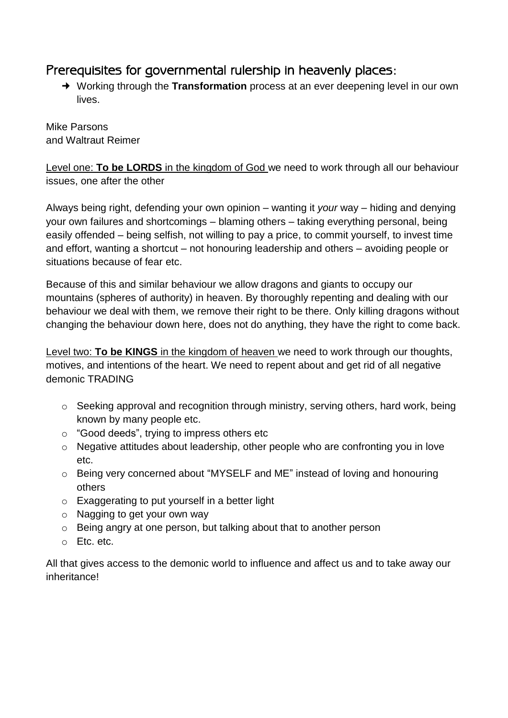## Prerequisites for governmental rulership in heavenly places:

 Working through the **Transformation** process at an ever deepening level in our own lives.

Mike Parsons and Waltraut Reimer

Level one: **To be LORDS** in the kingdom of God we need to work through all our behaviour issues, one after the other

Always being right, defending your own opinion – wanting it *your* way – hiding and denying your own failures and shortcomings – blaming others – taking everything personal, being easily offended – being selfish, not willing to pay a price, to commit yourself, to invest time and effort, wanting a shortcut – not honouring leadership and others – avoiding people or situations because of fear etc.

Because of this and similar behaviour we allow dragons and giants to occupy our mountains (spheres of authority) in heaven. By thoroughly repenting and dealing with our behaviour we deal with them, we remove their right to be there. Only killing dragons without changing the behaviour down here, does not do anything, they have the right to come back.

Level two: **To be KINGS** in the kingdom of heaven we need to work through our thoughts, motives, and intentions of the heart. We need to repent about and get rid of all negative demonic TRADING

- o Seeking approval and recognition through ministry, serving others, hard work, being known by many people etc.
- o "Good deeds", trying to impress others etc
- o Negative attitudes about leadership, other people who are confronting you in love etc.
- o Being very concerned about "MYSELF and ME" instead of loving and honouring others
- o Exaggerating to put yourself in a better light
- o Nagging to get your own way
- o Being angry at one person, but talking about that to another person
- o Etc. etc.

All that gives access to the demonic world to influence and affect us and to take away our inheritance!